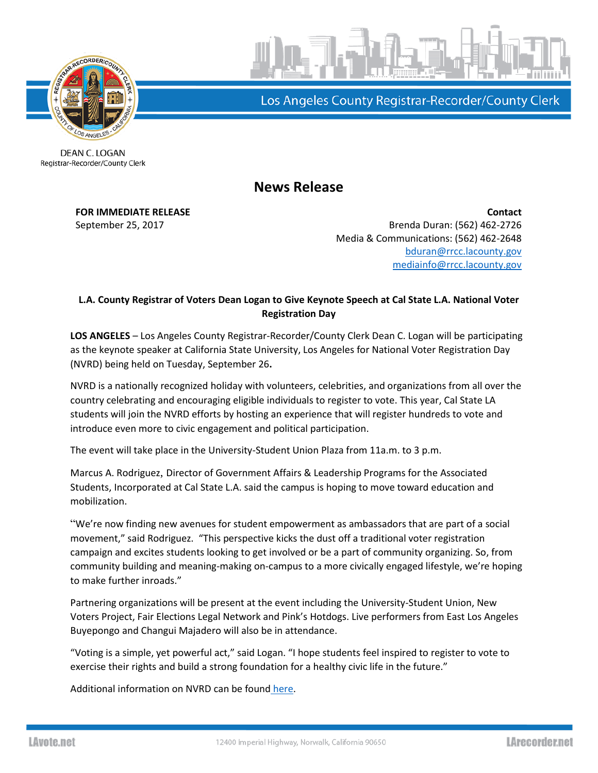

Los Angeles County Registrar-Recorder/County Clerk

DEAN C. LOGAN Registrar-Recorder/County Clerk

**News Release**

**FOR IMMEDIATE RELEASE Contact** September 25, 2017 **Brenda Duran: (562)** 462-2726 Media & Communications: (562) 462-2648 [bduran@rrcc.lacounty.gov](mailto:bduran@rrcc.lacounty.gov) [mediainfo@rrcc.lacounty.gov](mailto:mediainfo@rrcc.lacounty.gov)

## **L.A. County Registrar of Voters Dean Logan to Give Keynote Speech at Cal State L.A. National Voter Registration Day**

**LOS ANGELES** – Los Angeles County Registrar-Recorder/County Clerk Dean C. Logan will be participating as the keynote speaker at California State University, Los Angeles for National Voter Registration Day (NVRD) being held on Tuesday, September 26**.**

NVRD is a nationally recognized holiday with volunteers, celebrities, and organizations from all over the country celebrating and encouraging eligible individuals to register to vote. This year, Cal State LA students will join the NVRD efforts by hosting an experience that will register hundreds to vote and introduce even more to civic engagement and political participation.

The event will take place in the University-Student Union Plaza from 11a.m. to 3 p.m.

Marcus A. Rodriguez, Director of Government Affairs & Leadership Programs for the Associated Students, Incorporated at Cal State L.A. said the campus is hoping to move toward education and mobilization.

"We're now finding new avenues for student empowerment as ambassadors that are part of a social movement," said Rodriguez. "This perspective kicks the dust off a traditional voter registration campaign and excites students looking to get involved or be a part of community organizing. So, from community building and meaning-making on-campus to a more civically engaged lifestyle, we're hoping to make further inroads."

Partnering organizations will be present at the event including the University-Student Union, New Voters Project, Fair Elections Legal Network and Pink's Hotdogs. Live performers from East Los Angeles Buyepongo and Changui Majadero will also be in attendance.

"Voting is a simple, yet powerful act," said Logan. "I hope students feel inspired to register to vote to exercise their rights and build a strong foundation for a healthy civic life in the future."

Additional information on NVRD can be found [here.](https://nationalvoterregistrationday.org/)